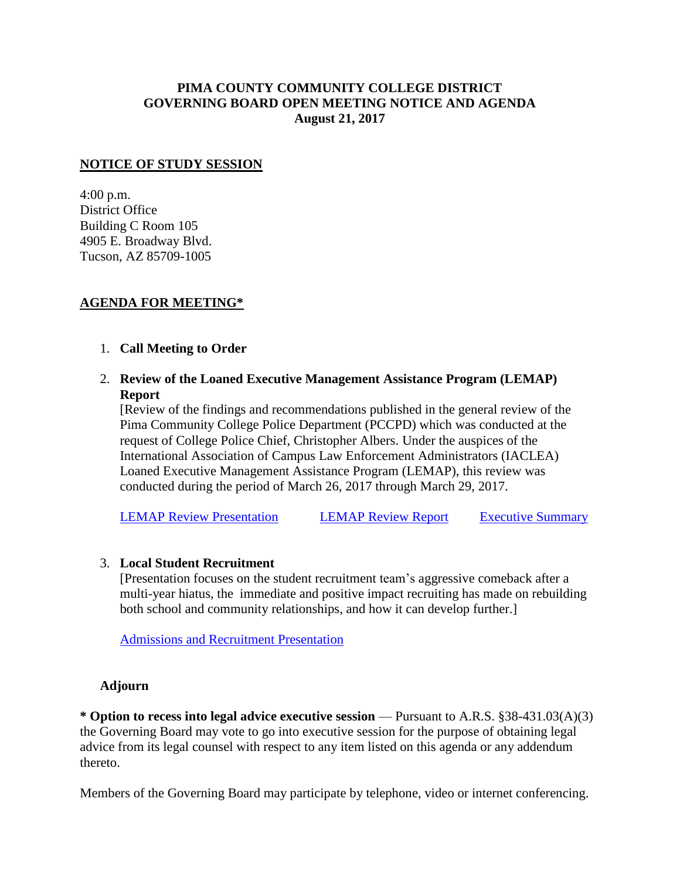# **PIMA COUNTY COMMUNITY COLLEGE DISTRICT GOVERNING BOARD OPEN MEETING NOTICE AND AGENDA August 21, 2017**

### **NOTICE OF STUDY SESSION**

4:00 p.m. District Office Building C Room 105 4905 E. Broadway Blvd. Tucson, AZ 85709-1005

## **AGENDA FOR MEETING\***

## 1. **Call Meeting to Order**

2. **Review of the Loaned Executive Management Assistance Program (LEMAP) Report**

[Review of the findings and recommendations published in the general review of the Pima Community College Police Department (PCCPD) which was conducted at the request of College Police Chief, Christopher Albers. Under the auspices of the International Association of Campus Law Enforcement Administrators (IACLEA) Loaned Executive Management Assistance Program (LEMAP), this review was conducted during the period of March 26, 2017 through March 29, 2017.

[LEMAP Review Presentation](https://www.pima.edu/meeting-notices-support/2017-docs/201708-21-lemap-review.pdf) [LEMAP Review Report](https://www.pima.edu/administrative-services/college-police/docs/lemap_pimacc.pdf) [Executive Summary](https://www.pima.edu/administrative-services/college-police/docs/lemap-executive-summary-2017.pdf)

#### 3. **Local Student Recruitment**

[Presentation focuses on the student recruitment team's aggressive comeback after a multi-year hiatus, the immediate and positive impact recruiting has made on rebuilding both school and community relationships, and how it can develop further.]

[Admissions and Recruitment Presentation](https://www.pima.edu/meeting-notices-support/2017-docs/201708-21-admission-recruitment.pdf)

#### **Adjourn**

**\* Option to recess into legal advice executive session** — Pursuant to A.R.S. §38-431.03(A)(3) the Governing Board may vote to go into executive session for the purpose of obtaining legal advice from its legal counsel with respect to any item listed on this agenda or any addendum thereto.

Members of the Governing Board may participate by telephone, video or internet conferencing.